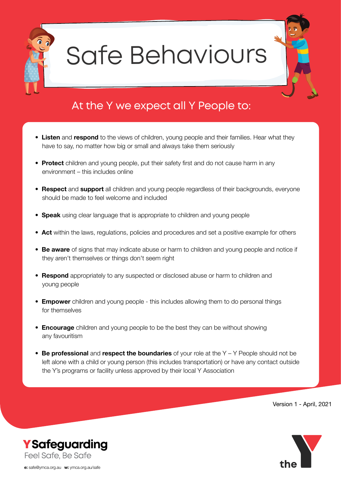

## Safe Behaviours

### At the Y we expect all Y People to:

- **Listen** and **respond** to the views of children, young people and their families. Hear what they have to say, no matter how big or small and always take them seriously
- **Protect** children and young people, put their safety first and do not cause harm in any environment – this includes online
- **Respect** and **support** all children and young people regardless of their backgrounds, everyone should be made to feel welcome and included
- **Speak** using clear language that is appropriate to children and young people
- **Act** within the laws, regulations, policies and procedures and set a positive example for others
- **Be aware** of signs that may indicate abuse or harm to children and young people and notice if they aren't themselves or things don't seem right
- **Respond** appropriately to any suspected or disclosed abuse or harm to children and young people
- **Empower** children and young people this includes allowing them to do personal things for themselves
- **Encourage** children and young people to be the best they can be without showing any favouritism
- **Be professional** and **respect the boundaries** of your role at the Y Y People should not be left alone with a child or young person (this includes transportation) or have any contact outside the Y's programs or facility unless approved by their local Y Association

Version 1 - April, 2021



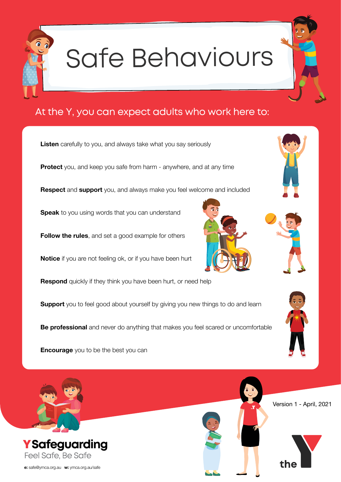

# Safe Behaviours

#### At the Y, you can expect adults who work here to:

**Listen** carefully to you, and always take what you say seriously **Protect** you, and keep you safe from harm - anywhere, and at any time **Respect** and **support** you, and always make you feel welcome and included **Speak** to you using words that you can understand **Follow the rules**, and set a good example for others **Notice** if you are not feeling ok, or if you have been hurt **Respond** quickly if they think you have been hurt, or need help **Support** you to feel good about yourself by giving you new things to do and learn **Be professional** and never do anything that makes you feel scared or uncomfortable

**Encourage** you to be the best you can









Version 1 - April, 2021